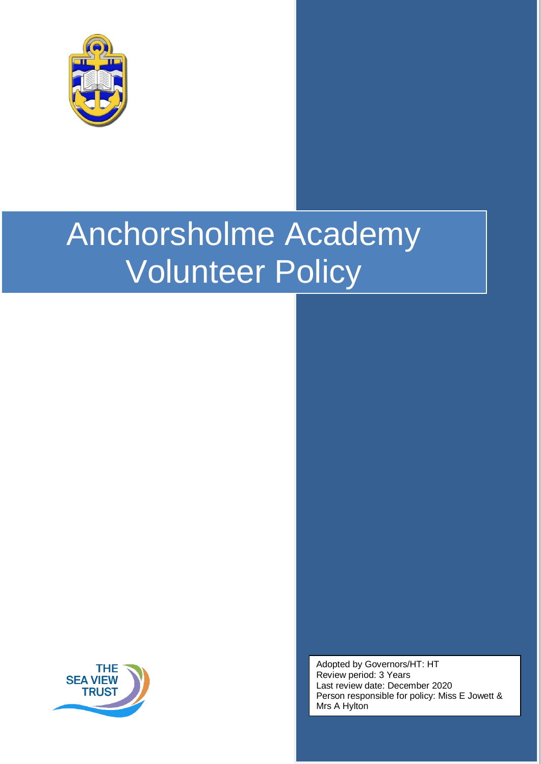

# Anchorsholme Academy Volunteer Policy



Adopted by Governors/HT: HT Review period: 3 Years Last review date: December 2020 Person responsible for policy: Miss E Jowett & Mrs A Hylton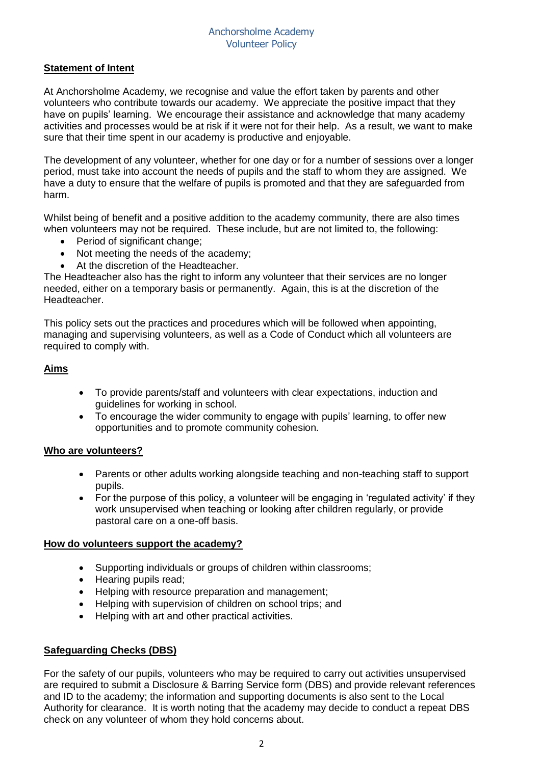# **Statement of Intent**

At Anchorsholme Academy, we recognise and value the effort taken by parents and other volunteers who contribute towards our academy. We appreciate the positive impact that they have on pupils' learning. We encourage their assistance and acknowledge that many academy activities and processes would be at risk if it were not for their help. As a result, we want to make sure that their time spent in our academy is productive and enjoyable.

The development of any volunteer, whether for one day or for a number of sessions over a longer period, must take into account the needs of pupils and the staff to whom they are assigned. We have a duty to ensure that the welfare of pupils is promoted and that they are safeguarded from harm.

Whilst being of benefit and a positive addition to the academy community, there are also times when volunteers may not be required. These include, but are not limited to, the following:

- Period of significant change;
- Not meeting the needs of the academy;
- At the discretion of the Headteacher.

The Headteacher also has the right to inform any volunteer that their services are no longer needed, either on a temporary basis or permanently. Again, this is at the discretion of the Headteacher.

This policy sets out the practices and procedures which will be followed when appointing, managing and supervising volunteers, as well as a Code of Conduct which all volunteers are required to comply with.

## **Aims**

- To provide parents/staff and volunteers with clear expectations, induction and guidelines for working in school.
- To encourage the wider community to engage with pupils' learning, to offer new opportunities and to promote community cohesion.

#### **Who are volunteers?**

- Parents or other adults working alongside teaching and non-teaching staff to support pupils.
- For the purpose of this policy, a volunteer will be engaging in 'regulated activity' if they work unsupervised when teaching or looking after children regularly, or provide pastoral care on a one-off basis.

## **How do volunteers support the academy?**

- Supporting individuals or groups of children within classrooms;
- Hearing pupils read;
- Helping with resource preparation and management;
- Helping with supervision of children on school trips; and
- Helping with art and other practical activities.

## **Safeguarding Checks (DBS)**

For the safety of our pupils, volunteers who may be required to carry out activities unsupervised are required to submit a Disclosure & Barring Service form (DBS) and provide relevant references and ID to the academy; the information and supporting documents is also sent to the Local Authority for clearance. It is worth noting that the academy may decide to conduct a repeat DBS check on any volunteer of whom they hold concerns about.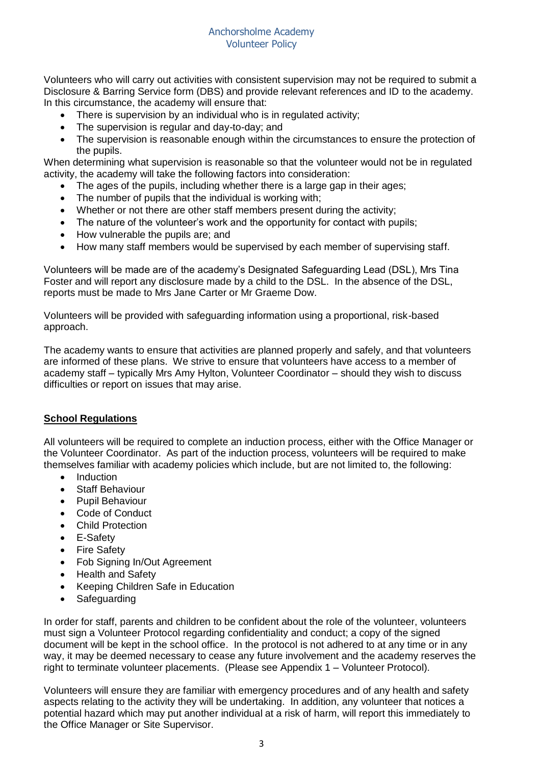Volunteers who will carry out activities with consistent supervision may not be required to submit a Disclosure & Barring Service form (DBS) and provide relevant references and ID to the academy. In this circumstance, the academy will ensure that:

- There is supervision by an individual who is in regulated activity;
- The supervision is regular and day-to-day; and
- The supervision is reasonable enough within the circumstances to ensure the protection of the pupils.

When determining what supervision is reasonable so that the volunteer would not be in regulated activity, the academy will take the following factors into consideration:

- The ages of the pupils, including whether there is a large gap in their ages;
- The number of pupils that the individual is working with;
- Whether or not there are other staff members present during the activity;
- The nature of the volunteer's work and the opportunity for contact with pupils;
- How vulnerable the pupils are: and
- How many staff members would be supervised by each member of supervising staff.

Volunteers will be made are of the academy's Designated Safeguarding Lead (DSL), Mrs Tina Foster and will report any disclosure made by a child to the DSL. In the absence of the DSL, reports must be made to Mrs Jane Carter or Mr Graeme Dow.

Volunteers will be provided with safeguarding information using a proportional, risk-based approach.

The academy wants to ensure that activities are planned properly and safely, and that volunteers are informed of these plans. We strive to ensure that volunteers have access to a member of academy staff – typically Mrs Amy Hylton, Volunteer Coordinator – should they wish to discuss difficulties or report on issues that may arise.

# **School Regulations**

All volunteers will be required to complete an induction process, either with the Office Manager or the Volunteer Coordinator. As part of the induction process, volunteers will be required to make themselves familiar with academy policies which include, but are not limited to, the following:

- Induction
- Staff Behaviour
- Pupil Behaviour
- Code of Conduct
- Child Protection
- E-Safety
- Fire Safety
- Fob Signing In/Out Agreement
- Health and Safety
- Keeping Children Safe in Education
- **Safeguarding**

In order for staff, parents and children to be confident about the role of the volunteer, volunteers must sign a Volunteer Protocol regarding confidentiality and conduct; a copy of the signed document will be kept in the school office. In the protocol is not adhered to at any time or in any way, it may be deemed necessary to cease any future involvement and the academy reserves the right to terminate volunteer placements. (Please see Appendix 1 – Volunteer Protocol).

Volunteers will ensure they are familiar with emergency procedures and of any health and safety aspects relating to the activity they will be undertaking. In addition, any volunteer that notices a potential hazard which may put another individual at a risk of harm, will report this immediately to the Office Manager or Site Supervisor.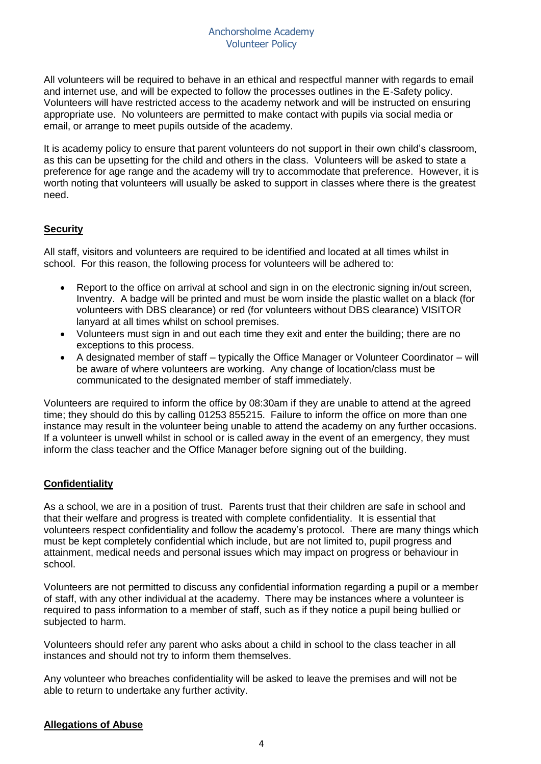All volunteers will be required to behave in an ethical and respectful manner with regards to email and internet use, and will be expected to follow the processes outlines in the E-Safety policy. Volunteers will have restricted access to the academy network and will be instructed on ensuring appropriate use. No volunteers are permitted to make contact with pupils via social media or email, or arrange to meet pupils outside of the academy.

It is academy policy to ensure that parent volunteers do not support in their own child's classroom, as this can be upsetting for the child and others in the class. Volunteers will be asked to state a preference for age range and the academy will try to accommodate that preference. However, it is worth noting that volunteers will usually be asked to support in classes where there is the greatest need.

# **Security**

All staff, visitors and volunteers are required to be identified and located at all times whilst in school. For this reason, the following process for volunteers will be adhered to:

- Report to the office on arrival at school and sign in on the electronic signing in/out screen, Inventry. A badge will be printed and must be worn inside the plastic wallet on a black (for volunteers with DBS clearance) or red (for volunteers without DBS clearance) VISITOR lanyard at all times whilst on school premises.
- Volunteers must sign in and out each time they exit and enter the building; there are no exceptions to this process.
- A designated member of staff typically the Office Manager or Volunteer Coordinator will be aware of where volunteers are working. Any change of location/class must be communicated to the designated member of staff immediately.

Volunteers are required to inform the office by 08:30am if they are unable to attend at the agreed time; they should do this by calling 01253 855215. Failure to inform the office on more than one instance may result in the volunteer being unable to attend the academy on any further occasions. If a volunteer is unwell whilst in school or is called away in the event of an emergency, they must inform the class teacher and the Office Manager before signing out of the building.

# **Confidentiality**

As a school, we are in a position of trust. Parents trust that their children are safe in school and that their welfare and progress is treated with complete confidentiality. It is essential that volunteers respect confidentiality and follow the academy's protocol. There are many things which must be kept completely confidential which include, but are not limited to, pupil progress and attainment, medical needs and personal issues which may impact on progress or behaviour in school.

Volunteers are not permitted to discuss any confidential information regarding a pupil or a member of staff, with any other individual at the academy. There may be instances where a volunteer is required to pass information to a member of staff, such as if they notice a pupil being bullied or subjected to harm.

Volunteers should refer any parent who asks about a child in school to the class teacher in all instances and should not try to inform them themselves.

Any volunteer who breaches confidentiality will be asked to leave the premises and will not be able to return to undertake any further activity.

## **Allegations of Abuse**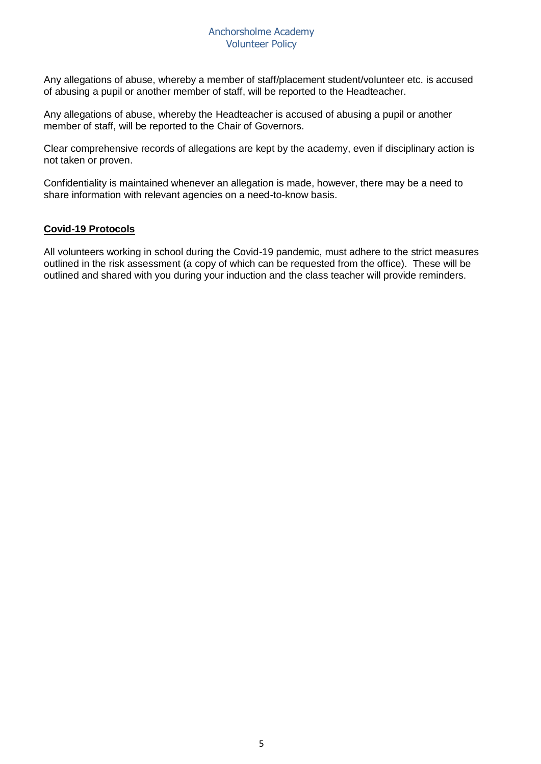Any allegations of abuse, whereby a member of staff/placement student/volunteer etc. is accused of abusing a pupil or another member of staff, will be reported to the Headteacher.

Any allegations of abuse, whereby the Headteacher is accused of abusing a pupil or another member of staff, will be reported to the Chair of Governors.

Clear comprehensive records of allegations are kept by the academy, even if disciplinary action is not taken or proven.

Confidentiality is maintained whenever an allegation is made, however, there may be a need to share information with relevant agencies on a need-to-know basis.

## **Covid-19 Protocols**

All volunteers working in school during the Covid-19 pandemic, must adhere to the strict measures outlined in the risk assessment (a copy of which can be requested from the office). These will be outlined and shared with you during your induction and the class teacher will provide reminders.